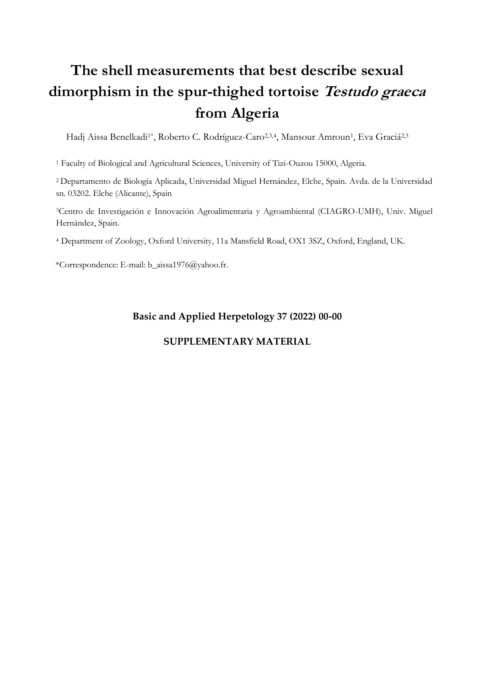## **The shell measurements that best describe sexual dimorphism in the spur-thighed tortoise Testudo graeca from Algeria**

Hadj Aissa Benelkadi<sup>1\*</sup>, Roberto C. Rodríguez-Caro<sup>2,3,4</sup>, Mansour Amroun<sup>1</sup>, Eva Graciá<sup>2,3</sup>

<sup>1</sup> [Faculty of Biological and Agricultural Sciences,](https://www.researchgate.net/institution/Universite-Mouloud-Mammeri-de-Tizi-Ouzou/department/Faculty-of-Biological-and-Agricultural-Sciences) University of Tizi-Ouzou 15000, Algeria.

<sup>2</sup>Departamento de Biología Aplicada, Universidad Miguel Hernández, Elche, Spain. Avda. de la Universidad sn. 03202. Elche (Alicante), Spain

<sup>3</sup>Centro de Investigación e Innovación Agroalimentaria y Agroambiental (CIAGRO-UMH), Univ. Miguel Hernández, Spain.

<sup>4</sup> Department of Zoology, Oxford University, 11a Mansfield Road, OX1 3SZ, Oxford, England, UK.

\*Correspondence: E-mail: b\_aissa1976@yahoo.fr.

## **Basic and Applied Herpetology 37 (2022) 00-00**

## **SUPPLEMENTARY MATERIAL**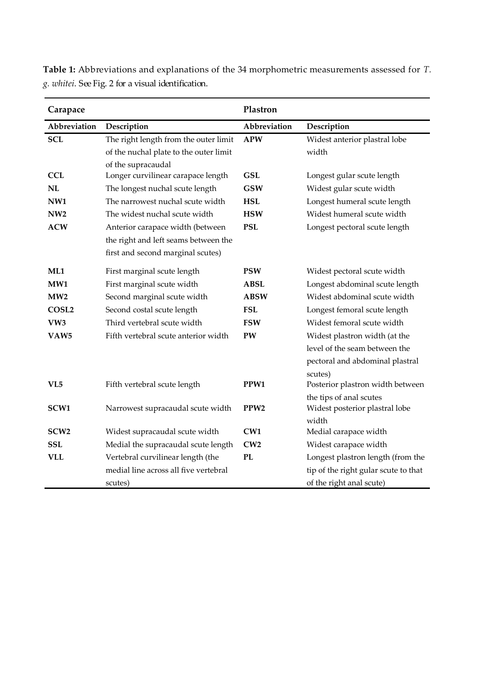| Carapace          |                                        | Plastron         |                                      |
|-------------------|----------------------------------------|------------------|--------------------------------------|
| Abbreviation      | Description                            | Abbreviation     | Description                          |
| <b>SCL</b>        | The right length from the outer limit  | <b>APW</b>       | Widest anterior plastral lobe        |
|                   | of the nuchal plate to the outer limit |                  | width                                |
|                   | of the supracaudal                     |                  |                                      |
| <b>CCL</b>        | Longer curvilinear carapace length     | <b>GSL</b>       | Longest gular scute length           |
| NL                | The longest nuchal scute length        | <b>GSW</b>       | Widest gular scute width             |
| NW <sub>1</sub>   | The narrowest nuchal scute width       | <b>HSL</b>       | Longest humeral scute length         |
| NW <sub>2</sub>   | The widest nuchal scute width          | <b>HSW</b>       | Widest humeral scute width           |
| <b>ACW</b>        | Anterior carapace width (between       | <b>PSL</b>       | Longest pectoral scute length        |
|                   | the right and left seams between the   |                  |                                      |
|                   | first and second marginal scutes)      |                  |                                      |
| ML1               | First marginal scute length            | <b>PSW</b>       | Widest pectoral scute width          |
| MW1               | First marginal scute width             | ABSL             | Longest abdominal scute length       |
| MW2               | Second marginal scute width            | <b>ABSW</b>      | Widest abdominal scute width         |
| COSL <sub>2</sub> | Second costal scute length             | <b>FSL</b>       | Longest femoral scute length         |
| VW3               | Third vertebral scute width            | <b>FSW</b>       | Widest femoral scute width           |
| VAW5              | Fifth vertebral scute anterior width   | PW               | Widest plastron width (at the        |
|                   |                                        |                  | level of the seam between the        |
|                   |                                        |                  | pectoral and abdominal plastral      |
|                   |                                        |                  | scutes)                              |
| VL5               | Fifth vertebral scute length           | PPW1             | Posterior plastron width between     |
|                   |                                        |                  | the tips of anal scutes              |
| SCW <sub>1</sub>  | Narrowest supracaudal scute width      | PPW <sub>2</sub> | Widest posterior plastral lobe       |
|                   |                                        |                  | width                                |
| SCW <sub>2</sub>  | Widest supracaudal scute width         | CW1              | Medial carapace width                |
| <b>SSL</b>        | Medial the supracaudal scute length    | CW2              | Widest carapace width                |
| <b>VLL</b>        | Vertebral curvilinear length (the      | <b>PL</b>        | Longest plastron length (from the    |
|                   | medial line across all five vertebral  |                  | tip of the right gular scute to that |
|                   | scutes)                                |                  | of the right anal scute)             |

**Table 1:** Abbreviations and explanations of the 34 morphometric measurements assessed for *T. g. whitei*. See Fig. 2 for a visual identification.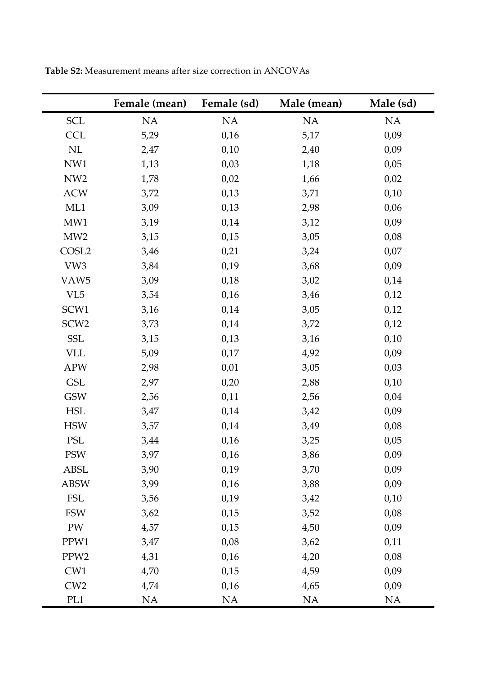|                      | Female (mean) | Female (sd) | Male (mean) | Male (sd) |
|----------------------|---------------|-------------|-------------|-----------|
| <b>SCL</b>           | NA            | NA          | $\rm NA$    | $\rm NA$  |
| <b>CCL</b>           | 5,29          | 0,16        | 5,17        | 0,09      |
| $\rm NL$             | 2,47          | 0,10        | 2,40        | 0,09      |
| NW1                  | 1,13          | 0,03        | 1,18        | 0,05      |
| NW <sub>2</sub>      | 1,78          | 0,02        | 1,66        | 0,02      |
| <b>ACW</b>           | 3,72          | 0,13        | 3,71        | 0,10      |
| ML1                  | 3,09          | 0,13        | 2,98        | 0,06      |
| MW1                  | 3,19          | 0,14        | 3,12        | 0,09      |
| MW2                  | 3,15          | 0,15        | 3,05        | 0,08      |
| COSL <sub>2</sub>    | 3,46          | 0,21        | 3,24        | 0,07      |
| VW3                  | 3,84          | 0,19        | 3,68        | 0,09      |
| VAW <sub>5</sub>     | 3,09          | 0,18        | 3,02        | 0,14      |
| VL <sub>5</sub>      | 3,54          | 0,16        | 3,46        | 0,12      |
| SCW1                 | 3,16          | 0,14        | 3,05        | 0,12      |
| SCW <sub>2</sub>     | 3,73          | 0,14        | 3,72        | 0,12      |
| <b>SSL</b>           | 3,15          | 0,13        | 3,16        | 0,10      |
| <b>VLL</b>           | 5,09          | 0,17        | 4,92        | 0,09      |
| <b>APW</b>           | 2,98          | 0,01        | 3,05        | 0,03      |
| <b>GSL</b>           | 2,97          | 0,20        | 2,88        | 0,10      |
| <b>GSW</b>           | 2,56          | 0,11        | 2,56        | 0,04      |
| $\operatorname{HSL}$ | 3,47          | 0,14        | 3,42        | 0,09      |
| <b>HSW</b>           | 3,57          | 0,14        | 3,49        | 0,08      |
| $\operatorname{PSL}$ | 3,44          | 0,16        | 3,25        | 0,05      |
| <b>PSW</b>           | 3,97          | 0,16        | 3,86        | 0,09      |
| <b>ABSL</b>          | 3,90          | 0,19        | 3,70        | 0,09      |
| <b>ABSW</b>          | 3,99          | 0,16        | 3,88        | 0,09      |
| <b>FSL</b>           | 3,56          | 0,19        | 3,42        | 0,10      |
| <b>FSW</b>           | 3,62          | 0,15        | 3,52        | 0,08      |
| PW                   | 4,57          | 0,15        | 4,50        | 0,09      |
| PPW1                 | 3,47          | 0,08        | 3,62        | 0,11      |
| PPW <sub>2</sub>     | 4,31          | 0,16        | 4,20        | 0,08      |
| CW1                  | 4,70          | 0,15        | 4,59        | 0,09      |
| CW2                  | 4,74          | 0,16        | 4,65        | 0,09      |
| PL1                  | NA            | NA          | NA          | NA        |

**Table S2:** Measurement means after size correction in ANCOVAs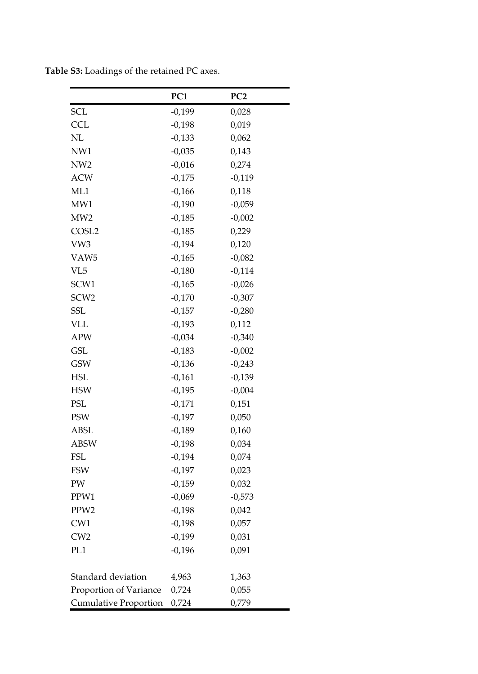|                        | PC <sub>1</sub> | PC <sub>2</sub> |
|------------------------|-----------------|-----------------|
| <b>SCL</b>             | -0,199          | 0,028           |
| <b>CCL</b>             | $-0,198$        | 0,019           |
| NL                     | $-0,133$        | 0,062           |
| NW1                    | $-0,035$        | 0,143           |
| NW <sub>2</sub>        | $-0,016$        | 0,274           |
| <b>ACW</b>             | $-0,175$        | $-0,119$        |
| ML1                    | $-0,166$        | 0,118           |
| MW1                    | $-0,190$        | $-0,059$        |
| MW2                    | $-0,185$        | $-0,002$        |
| COSL <sub>2</sub>      | $-0,185$        | 0,229           |
| VW3                    | $-0,194$        | 0,120           |
| VAW5                   | $-0,165$        | $-0,082$        |
| VL5                    | $-0,180$        | $-0,114$        |
| SCW1                   | $-0,165$        | $-0,026$        |
| SCW <sub>2</sub>       | $-0,170$        | $-0,307$        |
| SSL                    | $-0,157$        | $-0,280$        |
| VLL                    | $-0,193$        | 0,112           |
| <b>APW</b>             | $-0,034$        | $-0,340$        |
| <b>GSL</b>             | $-0,183$        | $-0,002$        |
| <b>GSW</b>             | $-0,136$        | $-0,243$        |
| HSL                    | $-0,161$        | $-0,139$        |
| <b>HSW</b>             | $-0,195$        | $-0,004$        |
| PSL                    | $-0,171$        | 0,151           |
| <b>PSW</b>             | $-0,197$        | 0,050           |
| ABSL                   | $-0,189$        | 0,160           |
| <b>ABSW</b>            | $-0,198$        | 0,034           |
| FSL                    | $-0,194$        | 0,074           |
| FSW                    | $-0,197$        | 0,023           |
| PW                     | $-0,159$        | 0,032           |
| PPW1                   | $-0,069$        | $-0,573$        |
| PPW <sub>2</sub>       | $-0,198$        | 0,042           |
| CW1                    | $-0,198$        | 0,057           |
| CW <sub>2</sub>        | $-0,199$        | 0,031           |
| PL <sub>1</sub>        | $-0,196$        | 0,091           |
| Standard deviation     | 4,963           | 1,363           |
| Proportion of Variance | 0,724           | 0,055           |
| Cumulative Proportion  | 0,724           | 0,779           |

**Table S3:** Loadings of the retained PC axes.